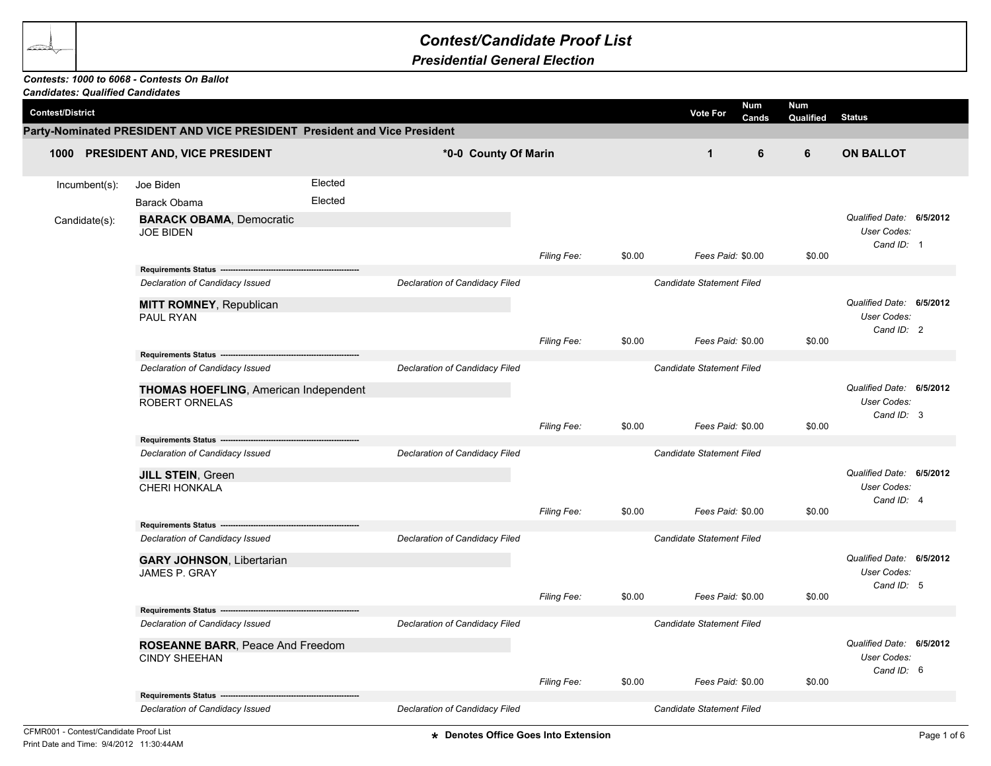## *Contest/Candidate Proof List*

## *Presidential General Election*

## *Contests: 1000 to 6068 - Contests On Ballot*

| <b>Candidates: Qualified Candidates</b> |                                                                             |                    |                                |                           |        |                                  |                  |                                                              |  |
|-----------------------------------------|-----------------------------------------------------------------------------|--------------------|--------------------------------|---------------------------|--------|----------------------------------|------------------|--------------------------------------------------------------|--|
| <b>Contest/District</b>                 |                                                                             |                    |                                |                           |        | Num<br><b>Vote For</b><br>Cands  | Num<br>Qualified | <b>Status</b>                                                |  |
|                                         | Party-Nominated PRESIDENT AND VICE PRESIDENT President and Vice President   |                    |                                |                           |        |                                  |                  |                                                              |  |
| 1000 PRESIDENT AND, VICE PRESIDENT      |                                                                             |                    | *0-0 County Of Marin           |                           |        | $\mathbf{1}$<br>6                | 6                | <b>ON BALLOT</b>                                             |  |
| Incumbent(s):                           | Joe Biden<br>Barack Obama                                                   | Elected<br>Elected |                                |                           |        |                                  |                  |                                                              |  |
| Candidate(s):                           | <b>BARACK OBAMA, Democratic</b><br><b>JOE BIDEN</b>                         |                    |                                |                           |        |                                  |                  | Qualified Date: 6/5/2012<br>User Codes:<br>Cand ID: 1        |  |
|                                         | Requirements Status ---------------------------------                       |                    |                                | Filing Fee:               | \$0.00 | Fees Paid: \$0.00                | \$0.00           |                                                              |  |
|                                         | Declaration of Candidacy Issued                                             |                    | Declaration of Candidacy Filed |                           |        | Candidate Statement Filed        |                  |                                                              |  |
|                                         | <b>MITT ROMNEY, Republican</b><br>PAUL RYAN                                 |                    |                                |                           |        |                                  |                  | Qualified Date: 6/5/2012<br>User Codes:<br>Cand ID: 2        |  |
|                                         |                                                                             |                    |                                | Filing Fee:               | \$0.00 | Fees Paid: \$0.00                | \$0.00           |                                                              |  |
|                                         | Requirements Status --------                                                |                    |                                |                           |        |                                  |                  |                                                              |  |
|                                         | Declaration of Candidacy Issued                                             |                    | Declaration of Candidacy Filed | Candidate Statement Filed |        |                                  |                  |                                                              |  |
|                                         | <b>THOMAS HOEFLING, American Independent</b><br><b>ROBERT ORNELAS</b>       |                    |                                |                           |        |                                  |                  | Qualified Date: 6/5/2012<br>User Codes:<br>Cand ID: 3        |  |
|                                         |                                                                             |                    |                                | Filing Fee:               | \$0.00 | Fees Paid: \$0.00                | \$0.00           |                                                              |  |
|                                         | Requirements Status --------------------<br>Declaration of Candidacy Issued |                    | Declaration of Candidacy Filed |                           |        | Candidate Statement Filed        |                  |                                                              |  |
|                                         | JILL STEIN, Green                                                           |                    |                                |                           |        |                                  |                  | Qualified Date: 6/5/2012                                     |  |
|                                         | CHERI HONKALA                                                               |                    |                                |                           |        |                                  |                  | User Codes:                                                  |  |
|                                         |                                                                             |                    |                                | Filing Fee:               | \$0.00 | Fees Paid: \$0.00                | \$0.00           | Cand ID: 4                                                   |  |
|                                         | Requirements Status --<br>Declaration of Candidacy Issued                   |                    | Declaration of Candidacy Filed |                           |        | Candidate Statement Filed        |                  |                                                              |  |
|                                         |                                                                             |                    |                                |                           |        |                                  |                  |                                                              |  |
|                                         | <b>GARY JOHNSON, Libertarian</b><br><b>JAMES P. GRAY</b>                    |                    |                                |                           |        |                                  |                  | Qualified Date: 6/5/2012<br><b>User Codes:</b><br>Cand ID: 5 |  |
|                                         |                                                                             |                    |                                | Filing Fee:               | \$0.00 | Fees Paid: \$0.00                | \$0.00           |                                                              |  |
|                                         | Requirements Status --                                                      |                    |                                |                           |        |                                  |                  |                                                              |  |
|                                         | Declaration of Candidacy Issued                                             |                    | Declaration of Candidacy Filed |                           |        | <b>Candidate Statement Filed</b> |                  |                                                              |  |
|                                         | ROSEANNE BARR, Peace And Freedom                                            |                    |                                |                           |        |                                  |                  | Qualified Date: 6/5/2012                                     |  |
|                                         | <b>CINDY SHEEHAN</b>                                                        |                    |                                |                           |        |                                  |                  | User Codes:<br>Cand ID: 6                                    |  |
|                                         |                                                                             |                    |                                | Filing Fee:               | \$0.00 | Fees Paid: \$0.00                | \$0.00           |                                                              |  |
|                                         | <b>Requirements Status</b>                                                  |                    |                                |                           |        |                                  |                  |                                                              |  |
|                                         | Declaration of Candidacy Issued                                             |                    | Declaration of Candidacy Filed |                           |        | Candidate Statement Filed        |                  |                                                              |  |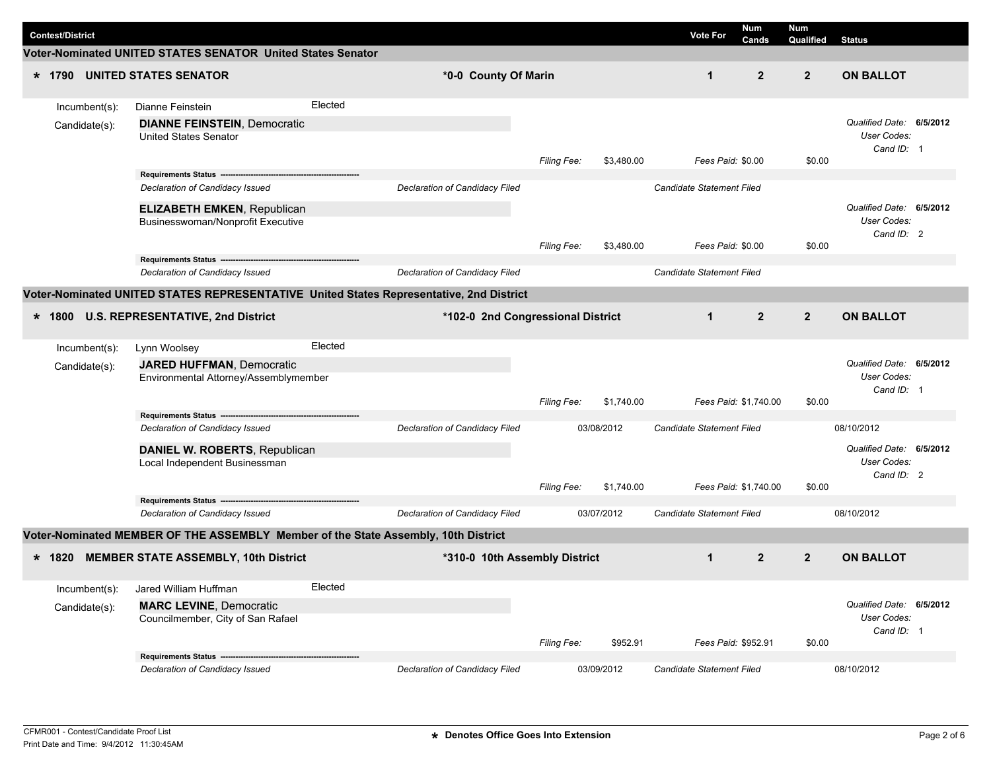|  | <b>Contest/District</b> |                                                                                    |         |                                                                                         |                    |            | <b>Vote For</b>           | Num<br>Cands   | Num<br>Qualified | <b>Status</b>                                         |  |
|--|-------------------------|------------------------------------------------------------------------------------|---------|-----------------------------------------------------------------------------------------|--------------------|------------|---------------------------|----------------|------------------|-------------------------------------------------------|--|
|  |                         | Voter-Nominated UNITED STATES SENATOR United States Senator                        |         |                                                                                         |                    |            |                           |                |                  |                                                       |  |
|  |                         | * 1790 UNITED STATES SENATOR                                                       |         | *0-0 County Of Marin                                                                    |                    |            | $\mathbf{1}$              | $\overline{2}$ | $\overline{2}$   | <b>ON BALLOT</b>                                      |  |
|  | Incumbent(s):           | Dianne Feinstein                                                                   | Elected |                                                                                         |                    |            |                           |                |                  |                                                       |  |
|  | Candidate(s):           | <b>DIANNE FEINSTEIN, Democratic</b><br><b>United States Senator</b>                |         |                                                                                         |                    |            |                           |                |                  | Qualified Date: 6/5/2012<br>User Codes:<br>Cand ID: 1 |  |
|  |                         |                                                                                    |         |                                                                                         | Filing Fee:        | \$3,480.00 | Fees Paid: \$0.00         |                | \$0.00           |                                                       |  |
|  |                         | Declaration of Candidacy Issued                                                    |         | Declaration of Candidacy Filed                                                          |                    |            | Candidate Statement Filed |                |                  |                                                       |  |
|  |                         | <b>ELIZABETH EMKEN, Republican</b><br>Businesswoman/Nonprofit Executive            |         |                                                                                         |                    |            |                           |                | \$0.00           | Qualified Date: 6/5/2012<br>User Codes:<br>Cand ID: 2 |  |
|  |                         | Requirements Status ------                                                         |         |                                                                                         | <b>Filing Fee:</b> | \$3,480.00 | Fees Paid: \$0.00         |                |                  |                                                       |  |
|  |                         | Declaration of Candidacy Issued                                                    |         | <b>Declaration of Candidacy Filed</b>                                                   |                    |            | Candidate Statement Filed |                |                  |                                                       |  |
|  |                         |                                                                                    |         | Voter-Nominated UNITED STATES REPRESENTATIVE United States Representative, 2nd District |                    |            |                           |                |                  |                                                       |  |
|  |                         | * 1800 U.S. REPRESENTATIVE, 2nd District                                           |         | *102-0 2nd Congressional District                                                       |                    |            | $\mathbf{1}$              | $\overline{2}$ | $\overline{2}$   | <b>ON BALLOT</b>                                      |  |
|  | $Incumbent(s)$ :        | Lynn Woolsey                                                                       | Elected |                                                                                         |                    |            |                           |                |                  |                                                       |  |
|  | Candidate(s):           | <b>JARED HUFFMAN, Democratic</b><br>Environmental Attorney/Assemblymember          |         |                                                                                         | Filing Fee:        | \$1,740.00 | Fees Paid: \$1,740.00     |                | \$0.00           | Qualified Date: 6/5/2012<br>User Codes:<br>Cand ID: 1 |  |
|  |                         | Requirements Status -------------------------------                                |         |                                                                                         |                    |            |                           |                |                  |                                                       |  |
|  |                         | Declaration of Candidacy Issued                                                    |         | Declaration of Candidacy Filed                                                          |                    | 03/08/2012 | Candidate Statement Filed |                |                  | 08/10/2012<br>Qualified Date: 6/5/2012                |  |
|  |                         | DANIEL W. ROBERTS, Republican<br>Local Independent Businessman                     |         |                                                                                         |                    |            |                           |                |                  | User Codes:<br>Cand ID: 2                             |  |
|  |                         | Requirements Status -----------------------------------                            |         |                                                                                         | <b>Filing Fee:</b> | \$1,740.00 | Fees Paid: \$1,740.00     |                | \$0.00           |                                                       |  |
|  |                         | Declaration of Candidacy Issued                                                    |         | Declaration of Candidacy Filed                                                          |                    | 03/07/2012 | Candidate Statement Filed |                |                  | 08/10/2012                                            |  |
|  |                         | Voter-Nominated MEMBER OF THE ASSEMBLY Member of the State Assembly, 10th District |         |                                                                                         |                    |            |                           |                |                  |                                                       |  |
|  |                         | * 1820 MEMBER STATE ASSEMBLY, 10th District                                        |         | *310-0 10th Assembly District                                                           |                    |            | $\mathbf{1}$              | $\overline{2}$ | $\overline{2}$   | <b>ON BALLOT</b>                                      |  |
|  | Incumbent(s):           | Jared William Huffman                                                              | Elected |                                                                                         |                    |            |                           |                |                  |                                                       |  |
|  | Candidate(s):           | <b>MARC LEVINE, Democratic</b><br>Councilmember, City of San Rafael                |         |                                                                                         | Filing Fee:        | \$952.91   | Fees Paid: \$952.91       |                | \$0.00           | Qualified Date: 6/5/2012<br>User Codes:<br>Cand ID: 1 |  |
|  |                         | Requirements Status --                                                             |         |                                                                                         |                    |            |                           |                |                  |                                                       |  |
|  |                         | Declaration of Candidacy Issued                                                    |         | Declaration of Candidacy Filed                                                          |                    | 03/09/2012 | Candidate Statement Filed |                |                  | 08/10/2012                                            |  |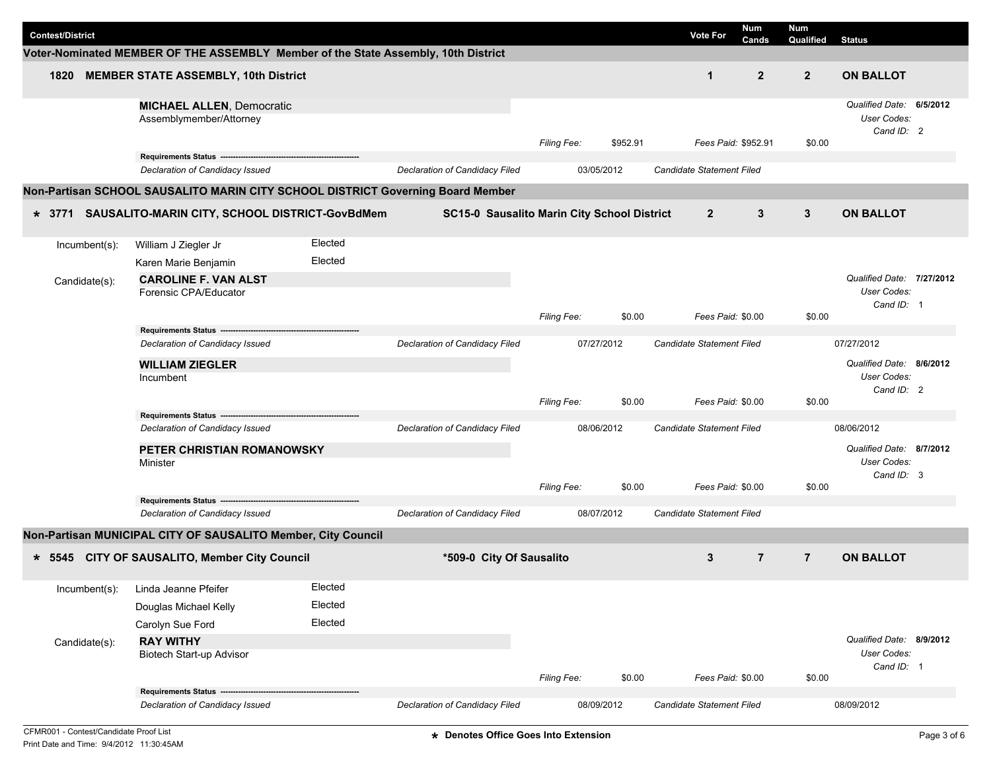| <b>Contest/District</b> |                                                                                    |         |                                             |                    |            |          | <b>Vote For</b>                  | <b>Num</b><br>Cands | Num<br>Qualified | <b>Status</b>                                          |  |
|-------------------------|------------------------------------------------------------------------------------|---------|---------------------------------------------|--------------------|------------|----------|----------------------------------|---------------------|------------------|--------------------------------------------------------|--|
|                         | Voter-Nominated MEMBER OF THE ASSEMBLY Member of the State Assembly, 10th District |         |                                             |                    |            |          |                                  |                     |                  |                                                        |  |
| 1820                    | <b>MEMBER STATE ASSEMBLY, 10th District</b>                                        |         |                                             |                    |            |          | $\mathbf{1}$                     | $\overline{2}$      | $\overline{2}$   | <b>ON BALLOT</b>                                       |  |
|                         | <b>MICHAEL ALLEN, Democratic</b><br>Assemblymember/Attorney                        |         |                                             | <b>Filing Fee:</b> |            | \$952.91 |                                  | Fees Paid: \$952.91 | \$0.00           | Qualified Date: 6/5/2012<br>User Codes:<br>Cand ID: 2  |  |
|                         | Requirements Status ----                                                           |         |                                             |                    |            |          |                                  |                     |                  |                                                        |  |
|                         | Declaration of Candidacy Issued                                                    |         | Declaration of Candidacy Filed              |                    | 03/05/2012 |          | Candidate Statement Filed        |                     |                  |                                                        |  |
|                         | Non-Partisan SCHOOL SAUSALITO MARIN CITY SCHOOL DISTRICT Governing Board Member    |         |                                             |                    |            |          |                                  |                     |                  |                                                        |  |
| $*3771$                 | SAUSALITO-MARIN CITY, SCHOOL DISTRICT-GovBdMem                                     |         | SC15-0 Sausalito Marin City School District |                    |            |          | $\overline{2}$                   | 3                   | 3                | <b>ON BALLOT</b>                                       |  |
| Incumbent(s):           | William J Ziegler Jr                                                               | Elected |                                             |                    |            |          |                                  |                     |                  |                                                        |  |
|                         | Karen Marie Benjamin                                                               | Elected |                                             |                    |            |          |                                  |                     |                  |                                                        |  |
| Candidate(s):           | <b>CAROLINE F. VAN ALST</b><br>Forensic CPA/Educator                               |         |                                             |                    |            |          |                                  |                     |                  | Qualified Date: 7/27/2012<br>User Codes:<br>Cand ID: 1 |  |
|                         |                                                                                    |         |                                             | Filing Fee:        |            | \$0.00   |                                  | Fees Paid: \$0.00   | \$0.00           |                                                        |  |
|                         | Requirements Status --                                                             |         |                                             |                    |            |          |                                  |                     |                  |                                                        |  |
|                         | Declaration of Candidacy Issued                                                    |         | Declaration of Candidacy Filed              |                    | 07/27/2012 |          | Candidate Statement Filed        |                     |                  | 07/27/2012                                             |  |
|                         | <b>WILLIAM ZIEGLER</b><br>Incumbent                                                |         |                                             |                    |            |          |                                  |                     |                  | Qualified Date: 8/6/2012<br>User Codes:<br>Cand ID: 2  |  |
|                         |                                                                                    |         |                                             | Filing Fee:        |            | \$0.00   |                                  | Fees Paid: \$0.00   | \$0.00           |                                                        |  |
|                         | Requirements Status ---------<br>Declaration of Candidacy Issued                   |         | Declaration of Candidacy Filed              |                    | 08/06/2012 |          | Candidate Statement Filed        |                     |                  | 08/06/2012                                             |  |
|                         | PETER CHRISTIAN ROMANOWSKY<br>Minister                                             |         |                                             | <b>Filing Fee:</b> |            | \$0.00   |                                  | Fees Paid: \$0.00   | \$0.00           | Qualified Date: 8/7/2012<br>User Codes:<br>Cand ID: 3  |  |
|                         | Requirements Status ------------------------------                                 |         |                                             |                    |            |          |                                  |                     |                  |                                                        |  |
|                         | Declaration of Candidacy Issued                                                    |         | Declaration of Candidacy Filed              |                    | 08/07/2012 |          | Candidate Statement Filed        |                     |                  |                                                        |  |
|                         | Non-Partisan MUNICIPAL CITY OF SAUSALITO Member, City Council                      |         |                                             |                    |            |          |                                  |                     |                  |                                                        |  |
|                         | * 5545 CITY OF SAUSALITO, Member City Council                                      |         | *509-0 City Of Sausalito                    |                    |            |          | 3                                | $\overline{7}$      | $\overline{7}$   | <b>ON BALLOT</b>                                       |  |
| Incumbent(s):           | Linda Jeanne Pfeifer                                                               | Elected |                                             |                    |            |          |                                  |                     |                  |                                                        |  |
|                         | Douglas Michael Kelly                                                              | Elected |                                             |                    |            |          |                                  |                     |                  |                                                        |  |
|                         | Carolyn Sue Ford                                                                   | Elected |                                             |                    |            |          |                                  |                     |                  |                                                        |  |
| Candidate(s):           | <b>RAY WITHY</b><br>Biotech Start-up Advisor                                       |         |                                             |                    |            |          |                                  |                     |                  | Qualified Date: 8/9/2012<br>User Codes:<br>Cand ID: 1  |  |
|                         |                                                                                    |         |                                             | Filing Fee:        |            | \$0.00   |                                  | Fees Paid: \$0.00   | \$0.00           |                                                        |  |
|                         | Requirements Status ---<br>Declaration of Candidacy Issued                         |         | Declaration of Candidacy Filed              |                    | 08/09/2012 |          | <b>Candidate Statement Filed</b> |                     |                  | 08/09/2012                                             |  |
|                         |                                                                                    |         |                                             |                    |            |          |                                  |                     |                  |                                                        |  |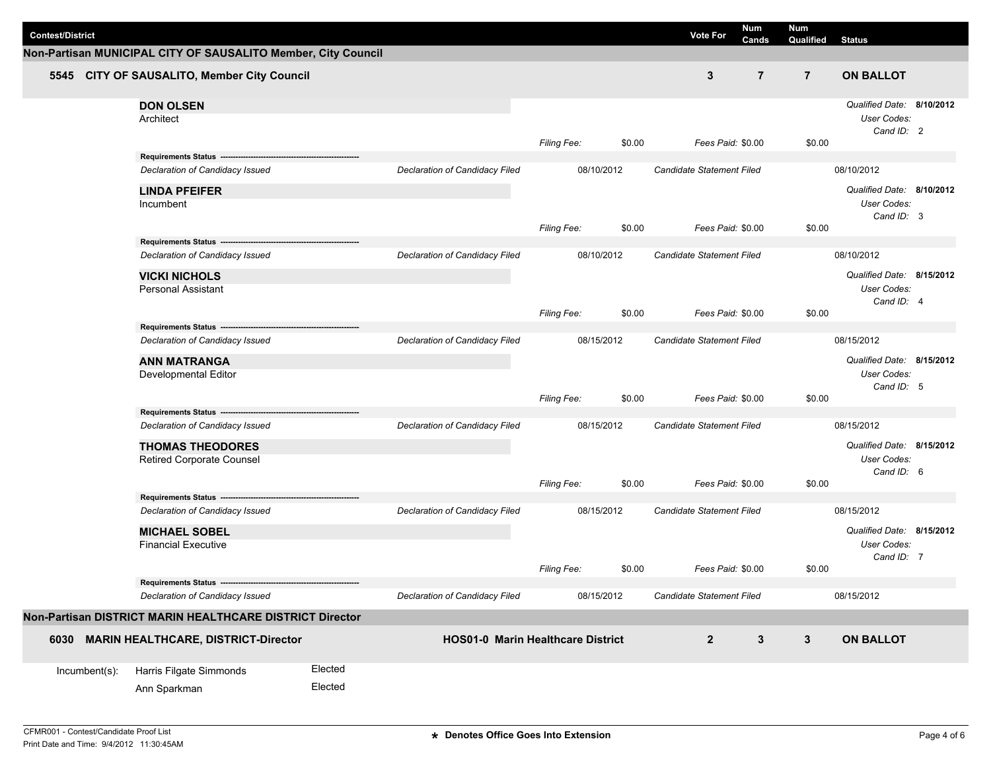|                                             |                                                               |         |                                          |                    |            |        |                                                | <b>Num</b>     | Num            |                           |  |
|---------------------------------------------|---------------------------------------------------------------|---------|------------------------------------------|--------------------|------------|--------|------------------------------------------------|----------------|----------------|---------------------------|--|
| <b>Contest/District</b>                     |                                                               |         |                                          |                    |            |        | <b>Vote For</b>                                | Cands          | Qualified      | <b>Status</b>             |  |
|                                             | Non-Partisan MUNICIPAL CITY OF SAUSALITO Member, City Council |         |                                          |                    |            |        |                                                |                |                |                           |  |
| 5545 CITY OF SAUSALITO, Member City Council |                                                               |         |                                          |                    |            |        | $\mathbf{3}$                                   | $\overline{7}$ | $\overline{7}$ | <b>ON BALLOT</b>          |  |
|                                             | <b>DON OLSEN</b>                                              |         |                                          |                    |            |        |                                                |                |                | Qualified Date: 8/10/2012 |  |
|                                             | Architect                                                     |         |                                          |                    |            |        |                                                |                |                | User Codes:               |  |
|                                             |                                                               |         |                                          | Filing Fee:        |            | \$0.00 | Fees Paid: \$0.00                              |                | \$0.00         | Cand ID: 2                |  |
|                                             | Requirements Status ----------------------------------        |         |                                          |                    |            |        |                                                |                |                |                           |  |
|                                             | Declaration of Candidacy Issued                               |         | Declaration of Candidacy Filed           |                    | 08/10/2012 |        | Candidate Statement Filed                      |                |                | 08/10/2012                |  |
|                                             | <b>LINDA PFEIFER</b>                                          |         |                                          |                    |            |        |                                                |                |                | Qualified Date: 8/10/2012 |  |
|                                             | Incumbent                                                     |         |                                          |                    |            |        |                                                |                |                | User Codes:               |  |
|                                             |                                                               |         |                                          | Filing Fee:        |            | \$0.00 | Fees Paid: \$0.00                              |                | \$0.00         | Cand ID: 3                |  |
|                                             | Requirements Status --                                        |         |                                          |                    |            |        |                                                |                |                |                           |  |
|                                             | Declaration of Candidacy Issued                               |         | Declaration of Candidacy Filed           |                    | 08/10/2012 |        | Candidate Statement Filed                      |                |                | 08/10/2012                |  |
|                                             | <b>VICKI NICHOLS</b>                                          |         |                                          |                    |            |        |                                                |                |                | Qualified Date: 8/15/2012 |  |
|                                             | <b>Personal Assistant</b>                                     |         |                                          |                    |            |        |                                                |                |                | User Codes:               |  |
|                                             |                                                               |         |                                          | Filing Fee:        |            | \$0.00 | Fees Paid: \$0.00                              |                | \$0.00         | Cand ID: 4                |  |
|                                             | Requirements Status -----                                     |         |                                          |                    |            |        |                                                |                |                |                           |  |
|                                             | Declaration of Candidacy Issued                               |         | Declaration of Candidacy Filed           |                    | 08/15/2012 |        | Candidate Statement Filed<br>Fees Paid: \$0.00 |                |                | 08/15/2012                |  |
|                                             | <b>ANN MATRANGA</b>                                           |         |                                          |                    |            |        |                                                |                |                | Qualified Date: 8/15/2012 |  |
|                                             | Developmental Editor                                          |         |                                          |                    |            |        |                                                |                |                | User Codes:               |  |
|                                             |                                                               |         |                                          | Filing Fee:        |            | \$0.00 |                                                |                | \$0.00         | Cand ID: 5                |  |
|                                             | Requirements Status --                                        |         |                                          |                    |            |        |                                                |                |                |                           |  |
|                                             | Declaration of Candidacy Issued                               |         | Declaration of Candidacy Filed           |                    | 08/15/2012 |        | Candidate Statement Filed                      |                |                | 08/15/2012                |  |
|                                             | <b>THOMAS THEODORES</b>                                       |         |                                          |                    |            |        |                                                |                |                | Qualified Date: 8/15/2012 |  |
|                                             | <b>Retired Corporate Counsel</b>                              |         |                                          |                    |            |        |                                                |                | User Codes:    |                           |  |
|                                             |                                                               |         |                                          | <b>Filing Fee:</b> |            | \$0.00 | Fees Paid: \$0.00                              |                | \$0.00         | Cand ID: 6                |  |
|                                             | Requirements Status ---                                       |         |                                          |                    |            |        |                                                |                |                |                           |  |
|                                             | Declaration of Candidacy Issued                               |         | Declaration of Candidacy Filed           |                    | 08/15/2012 |        | Candidate Statement Filed                      |                |                | 08/15/2012                |  |
|                                             | <b>MICHAEL SOBEL</b>                                          |         |                                          |                    |            |        |                                                |                |                | Qualified Date: 8/15/2012 |  |
|                                             | <b>Financial Executive</b>                                    |         |                                          |                    |            |        |                                                |                |                | User Codes:               |  |
|                                             |                                                               |         |                                          | <b>Filing Fee:</b> |            | \$0.00 | Fees Paid: \$0.00                              |                | \$0.00         | Cand ID: 7                |  |
|                                             |                                                               |         |                                          |                    |            |        |                                                |                |                |                           |  |
|                                             | Declaration of Candidacy Issued                               |         | <b>Declaration of Candidacy Filed</b>    |                    | 08/15/2012 |        | Candidate Statement Filed                      |                |                | 08/15/2012                |  |
|                                             | Non-Partisan DISTRICT MARIN HEALTHCARE DISTRICT Director      |         |                                          |                    |            |        |                                                |                |                |                           |  |
|                                             | 6030 MARIN HEALTHCARE, DISTRICT-Director                      |         | <b>HOS01-0 Marin Healthcare District</b> |                    |            |        | $\mathbf{2}$                                   | $\mathbf{3}$   | $\mathbf{3}$   | <b>ON BALLOT</b>          |  |
|                                             |                                                               |         |                                          |                    |            |        |                                                |                |                |                           |  |
| Incumbent(s):                               | Harris Filgate Simmonds                                       | Elected |                                          |                    |            |        |                                                |                |                |                           |  |
|                                             | Ann Sparkman                                                  | Elected |                                          |                    |            |        |                                                |                |                |                           |  |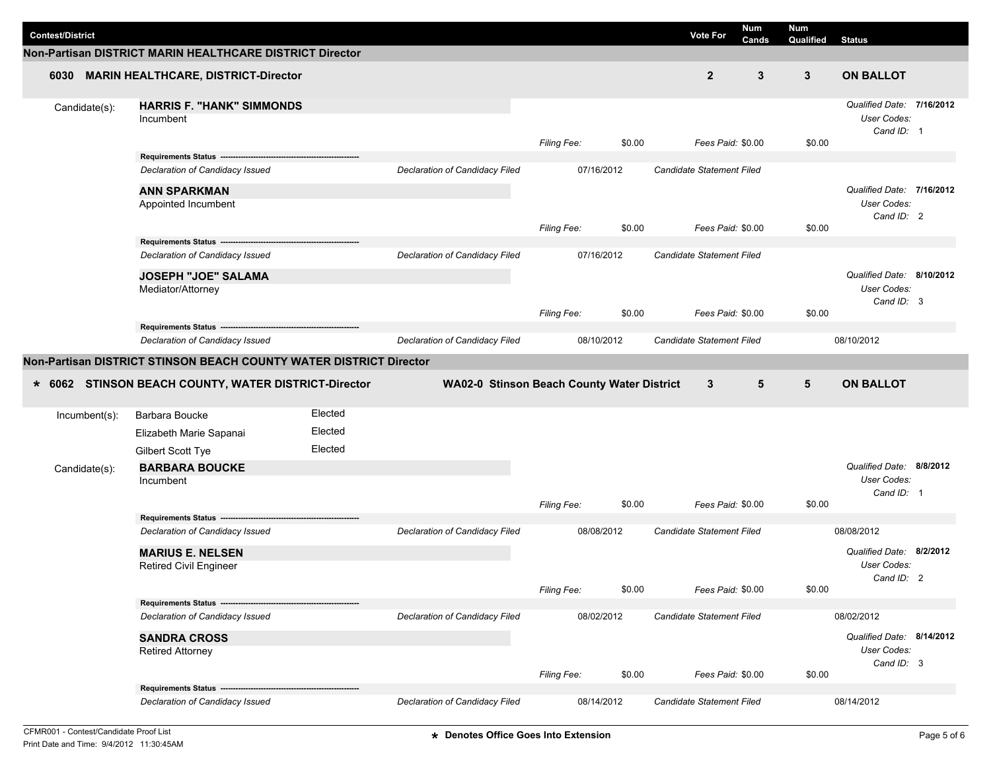|                         |                                                                      |         |                                            |                    |        |                                  | Num   | <b>Num</b>      |                                                        |  |
|-------------------------|----------------------------------------------------------------------|---------|--------------------------------------------|--------------------|--------|----------------------------------|-------|-----------------|--------------------------------------------------------|--|
| <b>Contest/District</b> |                                                                      |         |                                            |                    |        | <b>Vote For</b>                  | Cands | Qualified       | <b>Status</b>                                          |  |
|                         | Non-Partisan DISTRICT MARIN HEALTHCARE DISTRICT Director             |         |                                            |                    |        |                                  |       |                 |                                                        |  |
| 6030                    | <b>MARIN HEALTHCARE, DISTRICT-Director</b>                           |         |                                            |                    |        | $\overline{2}$                   | 3     | $\mathbf{3}$    | <b>ON BALLOT</b>                                       |  |
| Candidate(s):           | <b>HARRIS F. "HANK" SIMMONDS</b><br>Incumbent                        |         |                                            | <b>Filing Fee:</b> | \$0.00 | Fees Paid: \$0.00                |       | \$0.00          | Qualified Date: 7/16/2012<br>User Codes:<br>Cand ID: 1 |  |
|                         | Requirements Status --                                               |         |                                            |                    |        |                                  |       |                 |                                                        |  |
|                         | Declaration of Candidacy Issued                                      |         | Declaration of Candidacy Filed             | 07/16/2012         |        | Candidate Statement Filed        |       |                 |                                                        |  |
|                         | <b>ANN SPARKMAN</b><br>Appointed Incumbent                           |         |                                            |                    |        |                                  |       |                 | Qualified Date: 7/16/2012<br>User Codes:<br>Cand ID: 2 |  |
|                         |                                                                      |         |                                            | Filing Fee:        | \$0.00 | Fees Paid: \$0.00                |       | \$0.00          |                                                        |  |
|                         | Declaration of Candidacy Issued                                      |         | Declaration of Candidacy Filed             | 07/16/2012         |        |                                  |       |                 |                                                        |  |
|                         |                                                                      |         |                                            |                    |        | Candidate Statement Filed        |       |                 |                                                        |  |
|                         | <b>JOSEPH "JOE" SALAMA</b><br>Mediator/Attorney                      |         |                                            |                    |        |                                  |       |                 | Qualified Date: 8/10/2012<br>User Codes:<br>Cand ID: 3 |  |
|                         |                                                                      |         |                                            | Filing Fee:        | \$0.00 | Fees Paid: \$0.00                |       | \$0.00          |                                                        |  |
|                         | Requirements Status --------                                         |         | Declaration of Candidacy Filed             |                    |        | Candidate Statement Filed        |       |                 |                                                        |  |
|                         | Declaration of Candidacy Issued                                      |         |                                            | 08/10/2012         |        |                                  |       |                 | 08/10/2012                                             |  |
|                         | Non-Partisan DISTRICT STINSON BEACH COUNTY WATER DISTRICT Director   |         |                                            |                    |        |                                  |       |                 |                                                        |  |
|                         |                                                                      |         |                                            |                    |        |                                  |       |                 |                                                        |  |
|                         | * 6062 STINSON BEACH COUNTY, WATER DISTRICT-Director                 |         | WA02-0 Stinson Beach County Water District |                    |        | 3                                | 5     | $5\phantom{.0}$ | <b>ON BALLOT</b>                                       |  |
| Incumbent(s):           | Barbara Boucke                                                       | Elected |                                            |                    |        |                                  |       |                 |                                                        |  |
|                         | Elizabeth Marie Sapanai                                              | Elected |                                            |                    |        |                                  |       |                 |                                                        |  |
|                         | Gilbert Scott Tye                                                    | Elected |                                            |                    |        |                                  |       |                 |                                                        |  |
| Candidate(s):           | <b>BARBARA BOUCKE</b>                                                |         |                                            |                    |        |                                  |       |                 | Qualified Date: 8/8/2012                               |  |
|                         | Incumbent                                                            |         |                                            |                    |        |                                  |       |                 | User Codes:                                            |  |
|                         |                                                                      |         |                                            | <b>Filing Fee:</b> | \$0.00 | Fees Paid: \$0.00                |       | \$0.00          | Cand ID: 1                                             |  |
|                         | Requirements Status ---                                              |         |                                            |                    |        |                                  |       |                 |                                                        |  |
|                         | Declaration of Candidacy Issued                                      |         | Declaration of Candidacy Filed             | 08/08/2012         |        | <b>Candidate Statement Filed</b> |       |                 | 08/08/2012                                             |  |
|                         | <b>MARIUS E. NELSEN</b>                                              |         |                                            |                    |        |                                  |       |                 | Qualified Date: 8/2/2012                               |  |
|                         | Retired Civil Engineer                                               |         |                                            |                    |        |                                  |       |                 | <b>User Codes:</b>                                     |  |
|                         |                                                                      |         |                                            | Filing Fee:        | \$0.00 | Fees Paid: \$0.00                |       | \$0.00          | Cand ID: 2                                             |  |
|                         | Requirements Status -------                                          |         |                                            |                    |        |                                  |       |                 |                                                        |  |
|                         | Declaration of Candidacy Issued                                      |         | Declaration of Candidacy Filed             | 08/02/2012         |        | Candidate Statement Filed        |       |                 | 08/02/2012                                             |  |
|                         | <b>SANDRA CROSS</b>                                                  |         |                                            |                    |        |                                  |       |                 | Qualified Date: 8/14/2012                              |  |
|                         | <b>Retired Attorney</b>                                              |         |                                            |                    |        |                                  |       |                 | User Codes:                                            |  |
|                         |                                                                      |         |                                            | Filing Fee:        | \$0.00 | Fees Paid: \$0.00                |       | \$0.00          | Cand ID: 3                                             |  |
|                         | Requirements Status -------------<br>Declaration of Candidacy Issued |         | Declaration of Candidacy Filed             | 08/14/2012         |        | Candidate Statement Filed        |       |                 | 08/14/2012                                             |  |